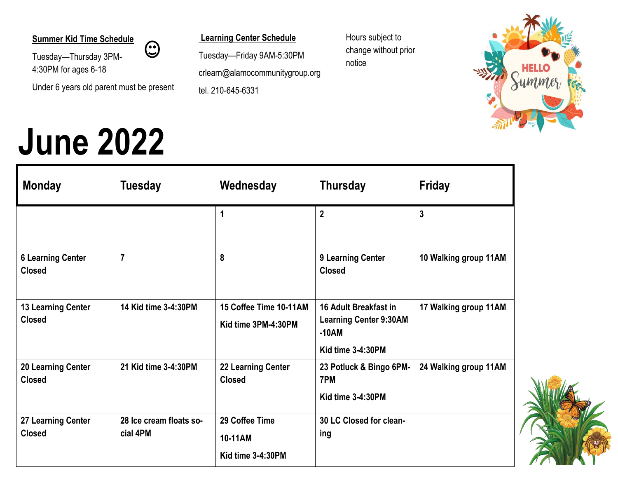#### **Summer Kid Time Schedule**

Tuesday—Thursday 3PM-4:30PM for ages 6-18

Under 6 years old parent must be present

 $\odot$ 

## **June 2022**

**Learning Center Schedule**

Tuesday—Friday 9AM-5:30PM crlearn@alamocommunitygroup.org tel. 210-645-6331

Hours subject to change without prior notice



| <b>Monday</b>                              | <b>Tuesday</b>                      | Wednesday                                      | <b>Thursday</b>                                                                        | <b>Friday</b>         |
|--------------------------------------------|-------------------------------------|------------------------------------------------|----------------------------------------------------------------------------------------|-----------------------|
|                                            |                                     | 1                                              | $\overline{2}$                                                                         | $\overline{3}$        |
| <b>6 Learning Center</b><br><b>Closed</b>  | $\overline{7}$                      | 8                                              | 9 Learning Center<br><b>Closed</b>                                                     | 10 Walking group 11AM |
| <b>13 Learning Center</b><br><b>Closed</b> | 14 Kid time 3-4:30PM                | 15 Coffee Time 10-11AM<br>Kid time 3PM-4:30PM  | 16 Adult Breakfast in<br><b>Learning Center 9:30AM</b><br>$-10AM$<br>Kid time 3-4:30PM | 17 Walking group 11AM |
| <b>20 Learning Center</b><br><b>Closed</b> | 21 Kid time 3-4:30PM                | <b>22 Learning Center</b><br><b>Closed</b>     | 23 Potluck & Bingo 6PM-<br>7PM<br>Kid time 3-4:30PM                                    | 24 Walking group 11AM |
| 27 Learning Center<br><b>Closed</b>        | 28 Ice cream floats so-<br>cial 4PM | 29 Coffee Time<br>10-11AM<br>Kid time 3-4:30PM | 30 LC Closed for clean-<br>ing                                                         |                       |